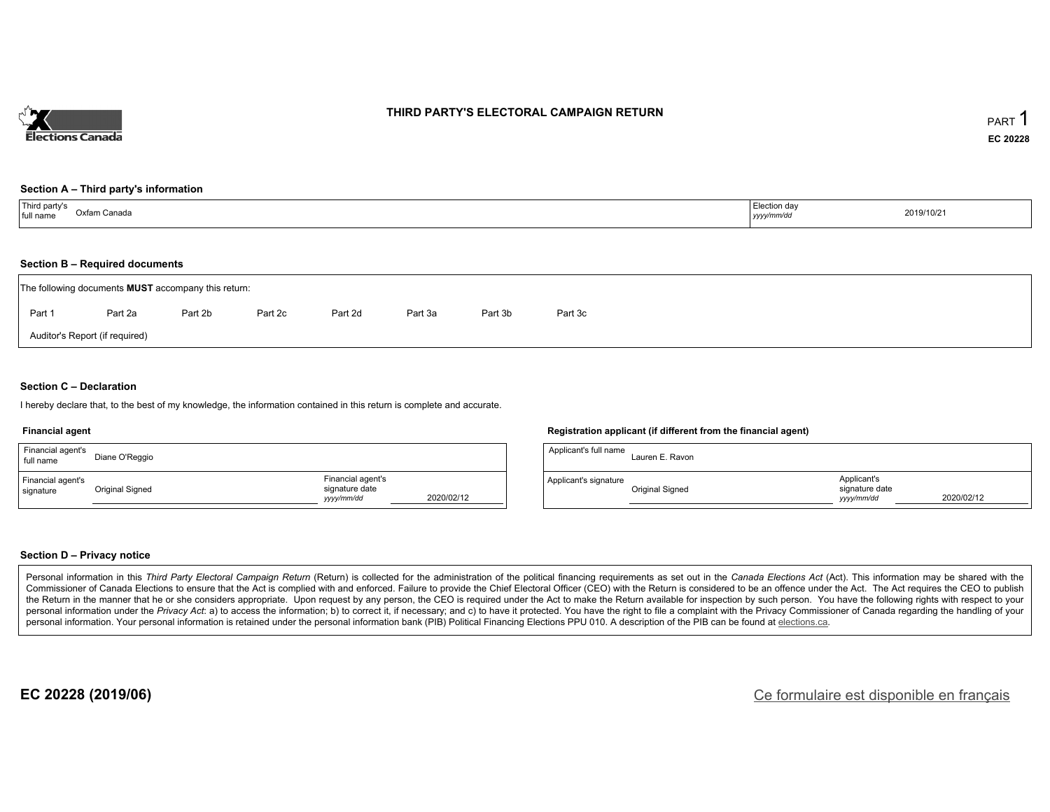

### **THIRD PARTY'S ELECTORAL CAMPAIGN RETURN**

#### **Section A – Third party's information**

| Third party's<br>full name<br>Oxfam Canada<br>. | Election day<br>2019/10/21<br>yyyy/mm/dd |  |
|-------------------------------------------------|------------------------------------------|--|
|-------------------------------------------------|------------------------------------------|--|

#### **Section B – Required documents**

|        | The following documents <b>MUST</b> accompany this return: |         |         |         |         |         |         |  |  |  |  |  |
|--------|------------------------------------------------------------|---------|---------|---------|---------|---------|---------|--|--|--|--|--|
| Part 1 | Part 2a                                                    | Part 2b | Part 2c | Part 2d | Part 3a | Part 3b | Part 3c |  |  |  |  |  |
|        | Auditor's Report (if required)                             |         |         |         |         |         |         |  |  |  |  |  |

### **Section C – Declaration**

I hereby declare that, to the best of my knowledge, the information contained in this return is complete and accurate.

#### **Financial agent**

| Financial agent's<br>full name | Diane O'Reggio  |                                                   |            |
|--------------------------------|-----------------|---------------------------------------------------|------------|
| Financial agent's<br>signature | Original Signed | Financial agent's<br>signature date<br>yyyy/mm/dd | 2020/02/12 |

### **Registration applicant (if different from the financial agent)**

| Applicant's full name | Lauren E. Ravon |                                             |            |
|-----------------------|-----------------|---------------------------------------------|------------|
| Applicant's signature | Original Signed | Applicant's<br>signature date<br>vyyy/mm/dd | 2020/02/12 |

#### **Section D – Privacy notice**

Personal information in this Third Party Electoral Campaign Return (Return) is collected for the administration of the political financing requirements as set out in the Canada Elections Act (Act). This information may be Commissioner of Canada Elections to ensure that the Act is complied with and enforced. Failure to provide the Chief Electoral Officer (CEO) with the Return is considered to be an offence under the Act. The Act requires the the Return in the manner that he or she considers appropriate. Upon request by any person, the CEO is required under the Act to make the Return available for inspection by such person. You have the following rights with re personal information under the Privacy Act. a) to access the information; b) to correct it, if necessary; and c) to have it protected. You have the right to file a complaint with the Privacy Commissioner of Canada regardin personal information. Your personal information is retained under the personal information bank (PIB) Political Financing Elections PPU 010. A description of the PIB can be found at elections.ca.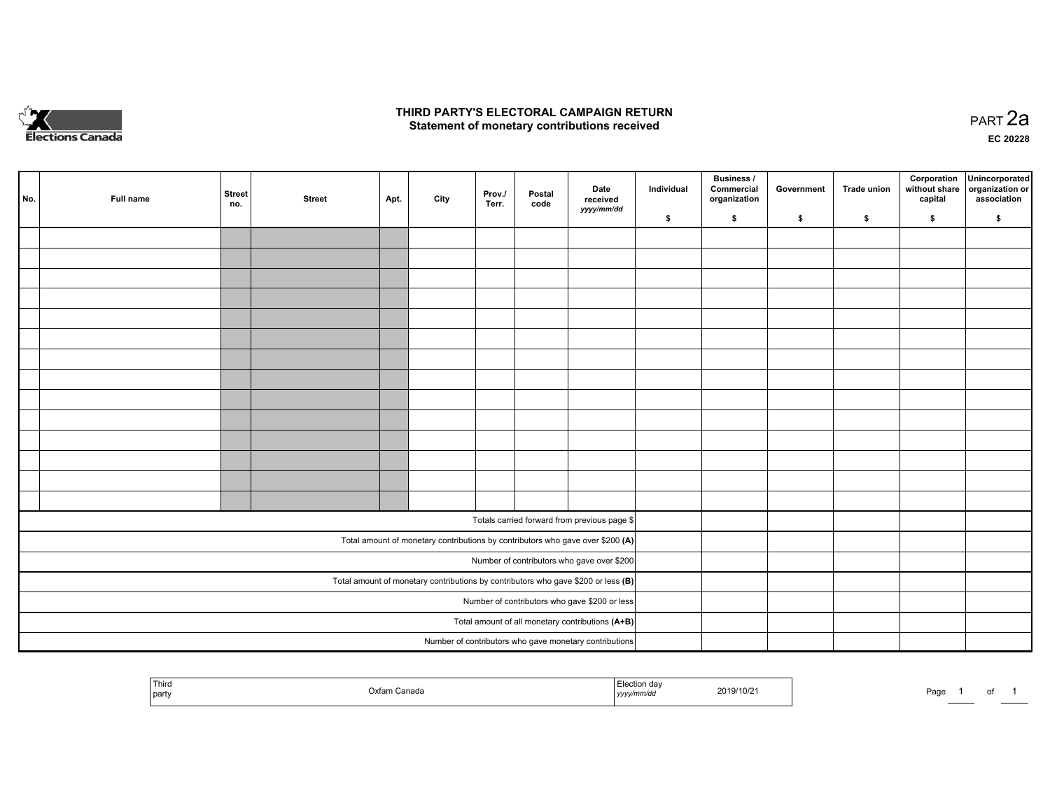

## **THIRD PARTY'S ELECTORAL CAMPAIGN RETURN HIRD PARTY'S ELECTORAL CAMPAIGN RETURN<br>Statement of monetary contributions received PART 2a PART 2a**

**EC 20228**

| No. | Full name | <b>Street</b><br>no. | <b>Street</b> | Apt. | City | Prov./<br>Terr. | Postal<br>code | Date<br>received                                                                    | Individual | <b>Business /</b><br>Commercial<br>organization | Government | Trade union | Corporation<br>without share<br>capital | Unincorporated<br>organization or<br>association |
|-----|-----------|----------------------|---------------|------|------|-----------------|----------------|-------------------------------------------------------------------------------------|------------|-------------------------------------------------|------------|-------------|-----------------------------------------|--------------------------------------------------|
|     |           |                      |               |      |      |                 |                | yyyy/mm/dd                                                                          | \$         | \$                                              | \$         | \$          | \$                                      | \$                                               |
|     |           |                      |               |      |      |                 |                |                                                                                     |            |                                                 |            |             |                                         |                                                  |
|     |           |                      |               |      |      |                 |                |                                                                                     |            |                                                 |            |             |                                         |                                                  |
|     |           |                      |               |      |      |                 |                |                                                                                     |            |                                                 |            |             |                                         |                                                  |
|     |           |                      |               |      |      |                 |                |                                                                                     |            |                                                 |            |             |                                         |                                                  |
|     |           |                      |               |      |      |                 |                |                                                                                     |            |                                                 |            |             |                                         |                                                  |
|     |           |                      |               |      |      |                 |                |                                                                                     |            |                                                 |            |             |                                         |                                                  |
|     |           |                      |               |      |      |                 |                |                                                                                     |            |                                                 |            |             |                                         |                                                  |
|     |           |                      |               |      |      |                 |                |                                                                                     |            |                                                 |            |             |                                         |                                                  |
|     |           |                      |               |      |      |                 |                |                                                                                     |            |                                                 |            |             |                                         |                                                  |
|     |           |                      |               |      |      |                 |                |                                                                                     |            |                                                 |            |             |                                         |                                                  |
|     |           |                      |               |      |      |                 |                |                                                                                     |            |                                                 |            |             |                                         |                                                  |
|     |           |                      |               |      |      |                 |                |                                                                                     |            |                                                 |            |             |                                         |                                                  |
|     |           |                      |               |      |      |                 |                |                                                                                     |            |                                                 |            |             |                                         |                                                  |
|     |           |                      |               |      |      |                 |                |                                                                                     |            |                                                 |            |             |                                         |                                                  |
|     |           |                      |               |      |      |                 |                | Totals carried forward from previous page \$                                        |            |                                                 |            |             |                                         |                                                  |
|     |           |                      |               |      |      |                 |                | Total amount of monetary contributions by contributors who gave over \$200 (A)      |            |                                                 |            |             |                                         |                                                  |
|     |           |                      |               |      |      |                 |                | Number of contributors who gave over \$200                                          |            |                                                 |            |             |                                         |                                                  |
|     |           |                      |               |      |      |                 |                | Total amount of monetary contributions by contributors who gave \$200 or less $(B)$ |            |                                                 |            |             |                                         |                                                  |
|     |           |                      |               |      |      |                 |                | Number of contributors who gave \$200 or less                                       |            |                                                 |            |             |                                         |                                                  |
|     |           |                      |               |      |      |                 |                | Total amount of all monetary contributions (A+B)                                    |            |                                                 |            |             |                                         |                                                  |
|     |           |                      |               |      |      |                 |                | Number of contributors who gave monetary contributions                              |            |                                                 |            |             |                                         |                                                  |

| ' Thira<br>party | .)xfar<br>ı Canada | ummud.<br>, , , , , | 2019/10/2 | Pago | ______ | . |  |
|------------------|--------------------|---------------------|-----------|------|--------|---|--|
|------------------|--------------------|---------------------|-----------|------|--------|---|--|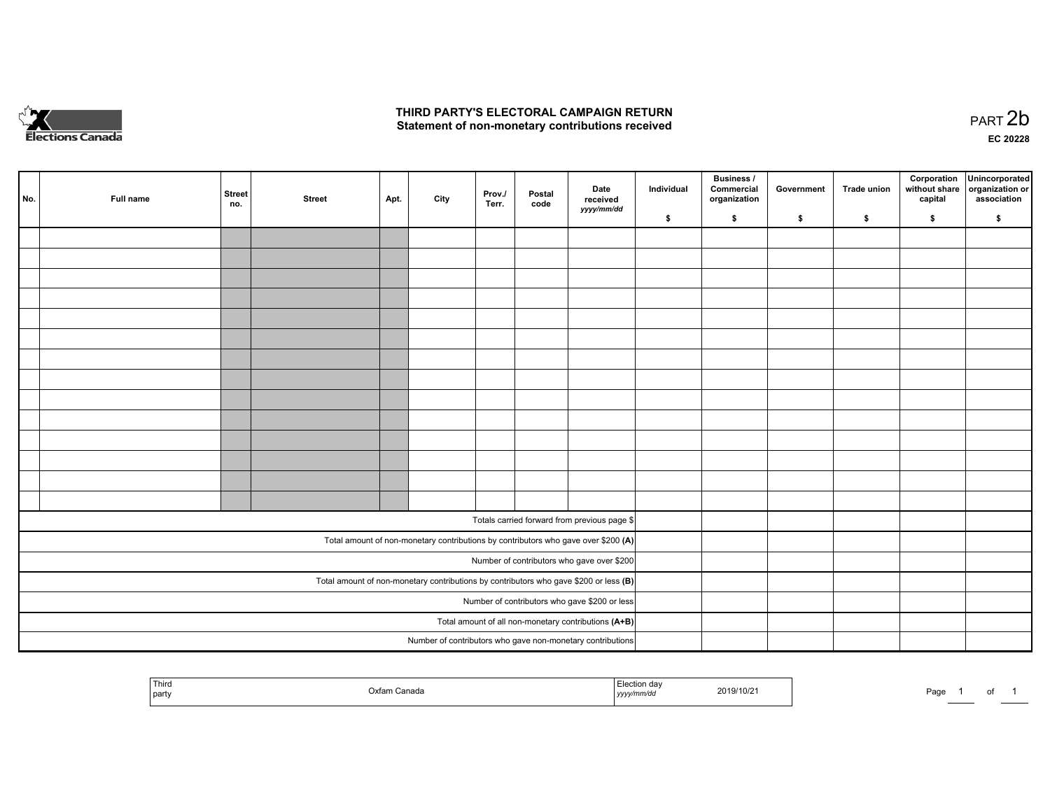

## **THIRD PARTY'S ELECTORAL CAMPAIGN RETURN**  THIRD PARTY'S ELECTORAL CAMPAIGN RETURN<br>Statement of non-monetary contributions received

of 1

| No. | Full name | <b>Street</b><br>no. | <b>Street</b> | Apt. | City | Prov./<br>Terr. | Postal<br>code | Date<br>received<br>yyyy/mm/dd                                                          | Individual | <b>Business /</b><br>Commercial<br>organization | Government | Trade union | Corporation<br>without share<br>capital | Unincorporated<br>organization or<br>association |
|-----|-----------|----------------------|---------------|------|------|-----------------|----------------|-----------------------------------------------------------------------------------------|------------|-------------------------------------------------|------------|-------------|-----------------------------------------|--------------------------------------------------|
|     |           |                      |               |      |      |                 |                |                                                                                         | \$         | \$                                              | \$         | \$          | \$                                      | \$                                               |
|     |           |                      |               |      |      |                 |                |                                                                                         |            |                                                 |            |             |                                         |                                                  |
|     |           |                      |               |      |      |                 |                |                                                                                         |            |                                                 |            |             |                                         |                                                  |
|     |           |                      |               |      |      |                 |                |                                                                                         |            |                                                 |            |             |                                         |                                                  |
|     |           |                      |               |      |      |                 |                |                                                                                         |            |                                                 |            |             |                                         |                                                  |
|     |           |                      |               |      |      |                 |                |                                                                                         |            |                                                 |            |             |                                         |                                                  |
|     |           |                      |               |      |      |                 |                |                                                                                         |            |                                                 |            |             |                                         |                                                  |
|     |           |                      |               |      |      |                 |                |                                                                                         |            |                                                 |            |             |                                         |                                                  |
|     |           |                      |               |      |      |                 |                |                                                                                         |            |                                                 |            |             |                                         |                                                  |
|     |           |                      |               |      |      |                 |                |                                                                                         |            |                                                 |            |             |                                         |                                                  |
|     |           |                      |               |      |      |                 |                |                                                                                         |            |                                                 |            |             |                                         |                                                  |
|     |           |                      |               |      |      |                 |                |                                                                                         |            |                                                 |            |             |                                         |                                                  |
|     |           |                      |               |      |      |                 |                |                                                                                         |            |                                                 |            |             |                                         |                                                  |
|     |           |                      |               |      |      |                 |                |                                                                                         |            |                                                 |            |             |                                         |                                                  |
|     |           |                      |               |      |      |                 |                |                                                                                         |            |                                                 |            |             |                                         |                                                  |
|     |           |                      |               |      |      |                 |                |                                                                                         |            |                                                 |            |             |                                         |                                                  |
|     |           |                      |               |      |      |                 |                | Totals carried forward from previous page \$                                            |            |                                                 |            |             |                                         |                                                  |
|     |           |                      |               |      |      |                 |                | Total amount of non-monetary contributions by contributors who gave over \$200 (A)      |            |                                                 |            |             |                                         |                                                  |
|     |           |                      |               |      |      |                 |                | Number of contributors who gave over \$200                                              |            |                                                 |            |             |                                         |                                                  |
|     |           |                      |               |      |      |                 |                | Total amount of non-monetary contributions by contributors who gave \$200 or less $(B)$ |            |                                                 |            |             |                                         |                                                  |
|     |           |                      |               |      |      |                 |                | Number of contributors who gave \$200 or less                                           |            |                                                 |            |             |                                         |                                                  |
|     |           |                      |               |      |      |                 |                | Total amount of all non-monetary contributions (A+B)                                    |            |                                                 |            |             |                                         |                                                  |
|     |           |                      |               |      |      |                 |                | Number of contributors who gave non-monetary contributions                              |            |                                                 |            |             |                                         |                                                  |
|     |           |                      |               |      |      |                 |                |                                                                                         |            |                                                 |            |             |                                         |                                                  |

| Third<br>I party<br>. . | Oxfar<br>⊦Canada | Election day<br>mm⁄ac<br>, , , , , , | 2019/10/2 | Page |  |
|-------------------------|------------------|--------------------------------------|-----------|------|--|
|-------------------------|------------------|--------------------------------------|-----------|------|--|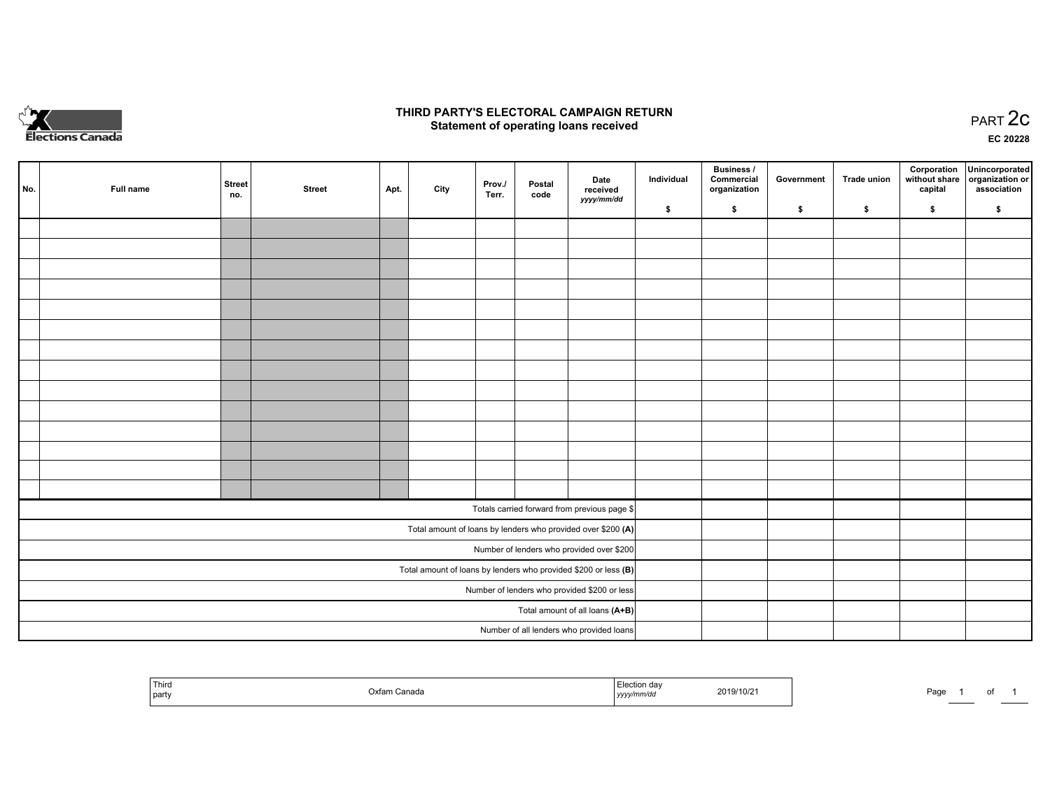

## **THIRD PARTY'S ELECTORAL CAMPAIGN RETURN STATE:** PRACT OF OPPRESS TO PART 2C STATE STATE STATE STATE STATE STATE STATE STATE STATE STATE STATE STATE STA<br>PART 2C Statement of operating loans received

**EC 20228**

| No. | Full name | <b>Street</b><br>no. | <b>Street</b> | Apt. | City | Prov./<br>Terr. | Postal<br>code | Date<br>received                                                | Individual | <b>Business /</b><br>Commercial<br>organization | Government | Trade union | capital | Corporation Unincorporated<br>without share   organization or<br>association |
|-----|-----------|----------------------|---------------|------|------|-----------------|----------------|-----------------------------------------------------------------|------------|-------------------------------------------------|------------|-------------|---------|------------------------------------------------------------------------------|
|     |           |                      |               |      |      |                 |                | yyyy/mm/dd                                                      | \$         | \$                                              | \$         | \$          | \$      | \$                                                                           |
|     |           |                      |               |      |      |                 |                |                                                                 |            |                                                 |            |             |         |                                                                              |
|     |           |                      |               |      |      |                 |                |                                                                 |            |                                                 |            |             |         |                                                                              |
|     |           |                      |               |      |      |                 |                |                                                                 |            |                                                 |            |             |         |                                                                              |
|     |           |                      |               |      |      |                 |                |                                                                 |            |                                                 |            |             |         |                                                                              |
|     |           |                      |               |      |      |                 |                |                                                                 |            |                                                 |            |             |         |                                                                              |
|     |           |                      |               |      |      |                 |                |                                                                 |            |                                                 |            |             |         |                                                                              |
|     |           |                      |               |      |      |                 |                |                                                                 |            |                                                 |            |             |         |                                                                              |
|     |           |                      |               |      |      |                 |                |                                                                 |            |                                                 |            |             |         |                                                                              |
|     |           |                      |               |      |      |                 |                |                                                                 |            |                                                 |            |             |         |                                                                              |
|     |           |                      |               |      |      |                 |                |                                                                 |            |                                                 |            |             |         |                                                                              |
|     |           |                      |               |      |      |                 |                |                                                                 |            |                                                 |            |             |         |                                                                              |
|     |           |                      |               |      |      |                 |                |                                                                 |            |                                                 |            |             |         |                                                                              |
|     |           |                      |               |      |      |                 |                |                                                                 |            |                                                 |            |             |         |                                                                              |
|     |           |                      |               |      |      |                 |                |                                                                 |            |                                                 |            |             |         |                                                                              |
|     |           |                      |               |      |      |                 |                | Totals carried forward from previous page \$                    |            |                                                 |            |             |         |                                                                              |
|     |           |                      |               |      |      |                 |                | Total amount of loans by lenders who provided over \$200 (A)    |            |                                                 |            |             |         |                                                                              |
|     |           |                      |               |      |      |                 |                | Number of lenders who provided over \$200                       |            |                                                 |            |             |         |                                                                              |
|     |           |                      |               |      |      |                 |                | Total amount of loans by lenders who provided \$200 or less (B) |            |                                                 |            |             |         |                                                                              |
|     |           |                      |               |      |      |                 |                | Number of lenders who provided \$200 or less                    |            |                                                 |            |             |         |                                                                              |
|     |           |                      |               |      |      |                 |                | Total amount of all loans (A+B)                                 |            |                                                 |            |             |         |                                                                              |
|     |           |                      |               |      |      |                 |                | Number of all lenders who provided loans                        |            |                                                 |            |             |         |                                                                              |

| ' Thiro<br>,,,,<br>party |  | 2019/10/2<br>the contract of the contract of the contract of the contract of the contract of<br>,,,, | Page<br>. |  |
|--------------------------|--|------------------------------------------------------------------------------------------------------|-----------|--|
|--------------------------|--|------------------------------------------------------------------------------------------------------|-----------|--|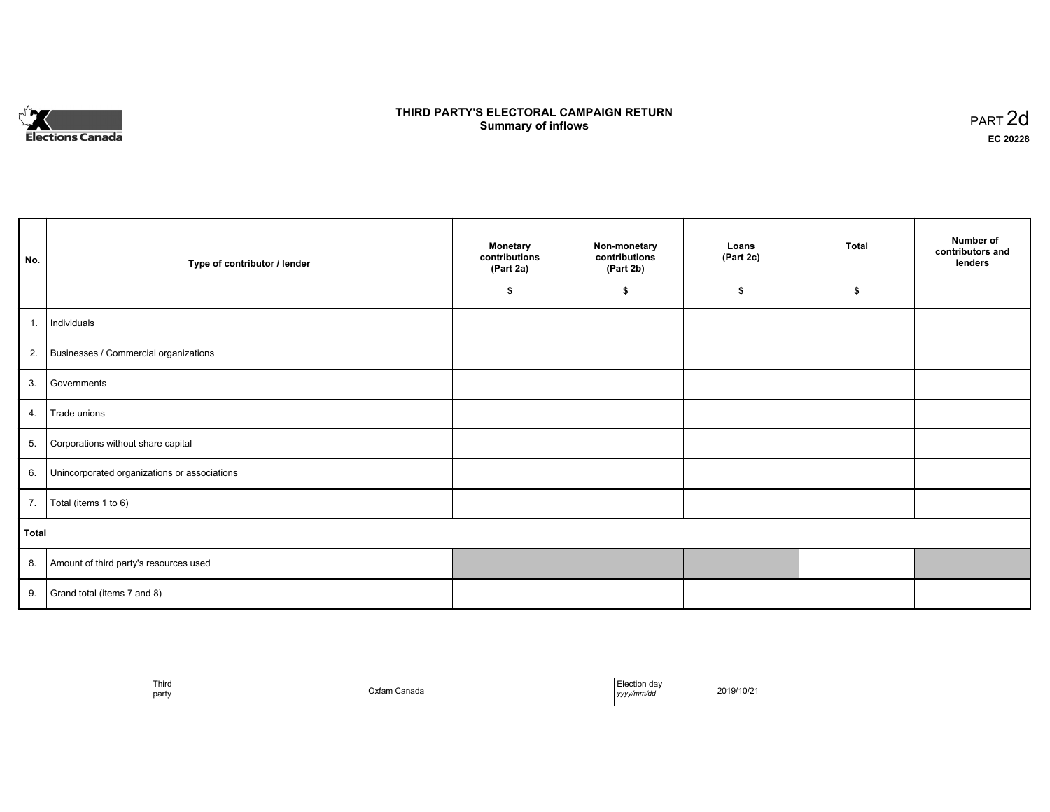

# **THIRD PARTY'S ELECTORAL CAMPAIGN RETURN S** ELECTORAL CAMPAIGN RETURN<br>Summary of inflows PART 2d

| No.   | Type of contributor / lender                    | <b>Monetary</b><br>contributions<br>(Part 2a) | Non-monetary<br>contributions<br>(Part 2b) | Loans<br>(Part 2c) | <b>Total</b> | Number of<br>contributors and<br>lenders |
|-------|-------------------------------------------------|-----------------------------------------------|--------------------------------------------|--------------------|--------------|------------------------------------------|
|       |                                                 | \$                                            | \$                                         | \$                 | s            |                                          |
| 1.    | Individuals                                     |                                               |                                            |                    |              |                                          |
|       | 2. Businesses / Commercial organizations        |                                               |                                            |                    |              |                                          |
| 3.    | Governments                                     |                                               |                                            |                    |              |                                          |
|       | 4. Trade unions                                 |                                               |                                            |                    |              |                                          |
| 5.    | Corporations without share capital              |                                               |                                            |                    |              |                                          |
|       | 6. Unincorporated organizations or associations |                                               |                                            |                    |              |                                          |
|       | 7.   Total (items 1 to 6)                       |                                               |                                            |                    |              |                                          |
| Total |                                                 |                                               |                                            |                    |              |                                          |
|       | 8. Amount of third party's resources used       |                                               |                                            |                    |              |                                          |
|       | 9. Grand total (items $7$ and $8$ )             |                                               |                                            |                    |              |                                          |

| ' Third<br>party | Oxfam Canada | Election dav<br>yyyy/mm/dd | 2019/10/21 |
|------------------|--------------|----------------------------|------------|
|------------------|--------------|----------------------------|------------|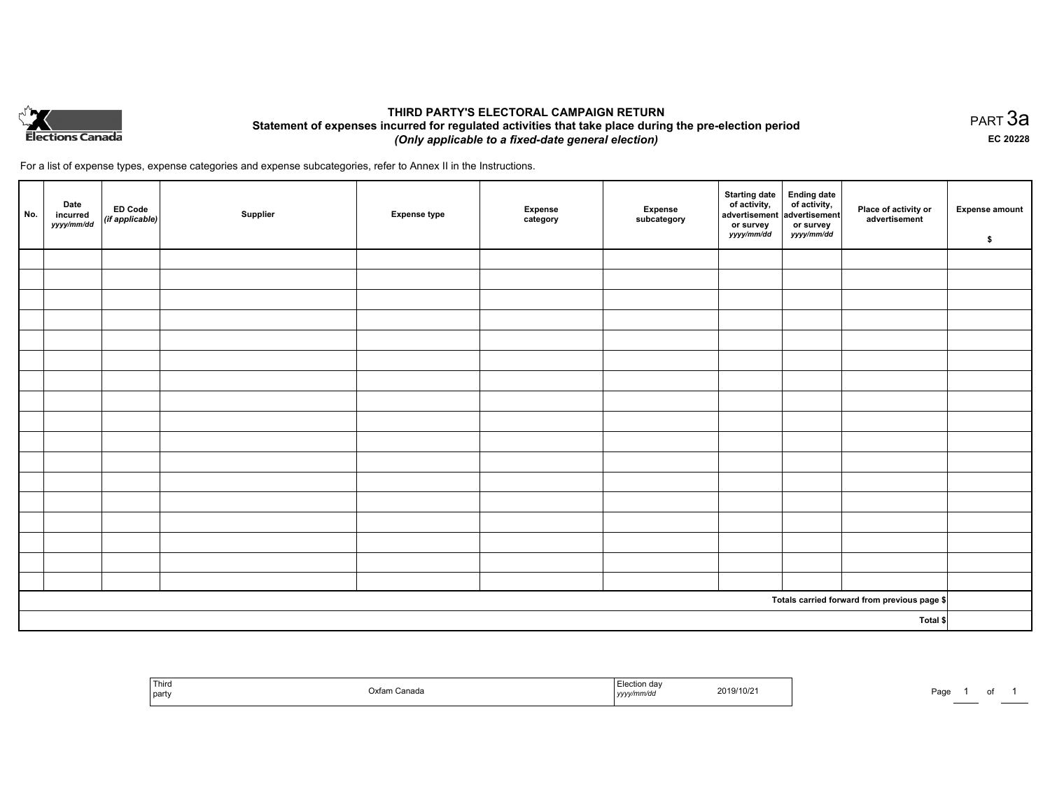

# **THIRD PARTY'S ELECTORAL CAMPAIGN RETURN Statement of expenses incurred for regulated activities that take place during the pre-election period**  *(Only applicable to a fixed-date general election)*

For a list of expense types, expense categories and expense subcategories, refer to Annex II in the Instructions.

| No.      | Date<br>incurred<br>yyyy/mm/dd | ED Code<br>(if applicable) | Supplier | <b>Expense type</b> | <b>Expense</b><br>category | Expense<br>subcategory | Starting date<br>of activity,<br>advertisement<br>or survey<br>yyyy/mm/dd | Ending date<br>of activity,<br>advertisement<br>or survey<br>yyyy/mm/dd | Place of activity or<br>advertisement        | <b>Expense amount</b><br>\$ |
|----------|--------------------------------|----------------------------|----------|---------------------|----------------------------|------------------------|---------------------------------------------------------------------------|-------------------------------------------------------------------------|----------------------------------------------|-----------------------------|
|          |                                |                            |          |                     |                            |                        |                                                                           |                                                                         |                                              |                             |
|          |                                |                            |          |                     |                            |                        |                                                                           |                                                                         |                                              |                             |
|          |                                |                            |          |                     |                            |                        |                                                                           |                                                                         |                                              |                             |
|          |                                |                            |          |                     |                            |                        |                                                                           |                                                                         |                                              |                             |
|          |                                |                            |          |                     |                            |                        |                                                                           |                                                                         |                                              |                             |
|          |                                |                            |          |                     |                            |                        |                                                                           |                                                                         |                                              |                             |
|          |                                |                            |          |                     |                            |                        |                                                                           |                                                                         |                                              |                             |
|          |                                |                            |          |                     |                            |                        |                                                                           |                                                                         |                                              |                             |
|          |                                |                            |          |                     |                            |                        |                                                                           |                                                                         |                                              |                             |
|          |                                |                            |          |                     |                            |                        |                                                                           |                                                                         |                                              |                             |
|          |                                |                            |          |                     |                            |                        |                                                                           |                                                                         |                                              |                             |
|          |                                |                            |          |                     |                            |                        |                                                                           |                                                                         |                                              |                             |
|          |                                |                            |          |                     |                            |                        |                                                                           |                                                                         |                                              |                             |
|          |                                |                            |          |                     |                            |                        |                                                                           |                                                                         |                                              |                             |
|          |                                |                            |          |                     |                            |                        |                                                                           |                                                                         |                                              |                             |
|          |                                |                            |          |                     |                            |                        |                                                                           |                                                                         |                                              |                             |
|          |                                |                            |          |                     |                            |                        |                                                                           |                                                                         |                                              |                             |
|          |                                |                            |          |                     |                            |                        |                                                                           |                                                                         | Totals carried forward from previous page \$ |                             |
| Total \$ |                                |                            |          |                     |                            |                        |                                                                           |                                                                         |                                              |                             |

| ' Third<br>  party | Oxfa<br>anada: | ı aav<br>,,,,, | 2019/10/21 | Door<br>-au |  |  |  |
|--------------------|----------------|----------------|------------|-------------|--|--|--|
|--------------------|----------------|----------------|------------|-------------|--|--|--|

PART 3a **EC 20228**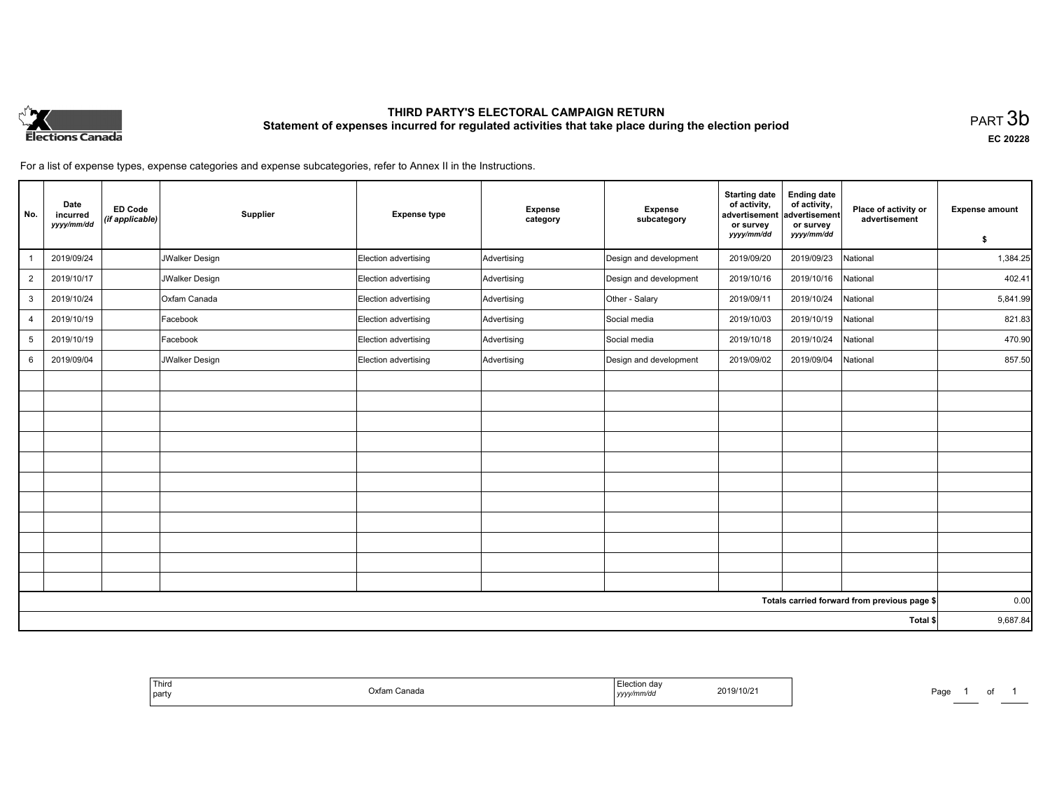

# **THIRD PARTY'S ELECTORAL CAMPAIGN RETURN Statement of expenses incurred for regulated activities that take place during the election period**<br>PART  $3\mathsf{b}$

**EC 20228**

1 of 1

For a list of expense types, expense categories and expense subcategories, refer to Annex II in the Instructions.

| No.            | Date<br>incurred<br>yyyy/mm/dd | <b>ED Code</b><br>(if applicable) | Supplier       | <b>Expense type</b>  | <b>Expense</b><br>category | <b>Expense</b><br>subcategory | <b>Starting date</b><br>of activity,<br>advertisement<br>or survey | <b>Ending date</b><br>of activity,<br>advertisement<br>or survey | Place of activity or<br>advertisement        | <b>Expense amount</b> |
|----------------|--------------------------------|-----------------------------------|----------------|----------------------|----------------------------|-------------------------------|--------------------------------------------------------------------|------------------------------------------------------------------|----------------------------------------------|-----------------------|
|                |                                |                                   |                |                      |                            |                               | yyyy/mm/dd                                                         | yyyy/mm/dd                                                       |                                              | \$                    |
|                | 2019/09/24                     |                                   | JWalker Design | Election advertising | Advertising                | Design and development        | 2019/09/20                                                         | 2019/09/23                                                       | National                                     | 1,384.25              |
| $\overline{2}$ | 2019/10/17                     |                                   | JWalker Design | Election advertising | Advertising                | Design and development        | 2019/10/16                                                         | 2019/10/16                                                       | National                                     | 402.41                |
| 3              | 2019/10/24                     |                                   | Oxfam Canada   | Election advertising | Advertising                | Other - Salary                | 2019/09/11                                                         | 2019/10/24                                                       | National                                     | 5,841.99              |
| $\overline{4}$ | 2019/10/19                     |                                   | Facebook       | Election advertising | Advertising                | Social media                  | 2019/10/03                                                         | 2019/10/19                                                       | National                                     | 821.83                |
| 5              | 2019/10/19                     |                                   | Facebook       | Election advertising | Advertising                | Social media                  | 2019/10/18                                                         | 2019/10/24                                                       | National                                     | 470.90                |
| 6              | 2019/09/04                     |                                   | JWalker Design | Election advertising | Advertising                | Design and development        | 2019/09/02                                                         | 2019/09/04                                                       | National                                     | 857.50                |
|                |                                |                                   |                |                      |                            |                               |                                                                    |                                                                  |                                              |                       |
|                |                                |                                   |                |                      |                            |                               |                                                                    |                                                                  |                                              |                       |
|                |                                |                                   |                |                      |                            |                               |                                                                    |                                                                  |                                              |                       |
|                |                                |                                   |                |                      |                            |                               |                                                                    |                                                                  |                                              |                       |
|                |                                |                                   |                |                      |                            |                               |                                                                    |                                                                  |                                              |                       |
|                |                                |                                   |                |                      |                            |                               |                                                                    |                                                                  |                                              |                       |
|                |                                |                                   |                |                      |                            |                               |                                                                    |                                                                  |                                              |                       |
|                |                                |                                   |                |                      |                            |                               |                                                                    |                                                                  |                                              |                       |
|                |                                |                                   |                |                      |                            |                               |                                                                    |                                                                  |                                              |                       |
|                |                                |                                   |                |                      |                            |                               |                                                                    |                                                                  |                                              |                       |
|                |                                |                                   |                |                      |                            |                               |                                                                    |                                                                  |                                              |                       |
|                |                                |                                   |                |                      |                            |                               |                                                                    |                                                                  | Totals carried forward from previous page \$ | 0.00                  |
|                |                                |                                   |                |                      |                            |                               |                                                                    |                                                                  | Total \$                                     | 9,687.84              |

| <sup>'</sup> Third<br>.)xtam ′<br>Canada<br>l part | a∩ti∩n<br>tion da<br>2019/10/2<br>y/mm/da<br>.<br>$1$ <i>yyyy</i> | Page |
|----------------------------------------------------|-------------------------------------------------------------------|------|
|----------------------------------------------------|-------------------------------------------------------------------|------|